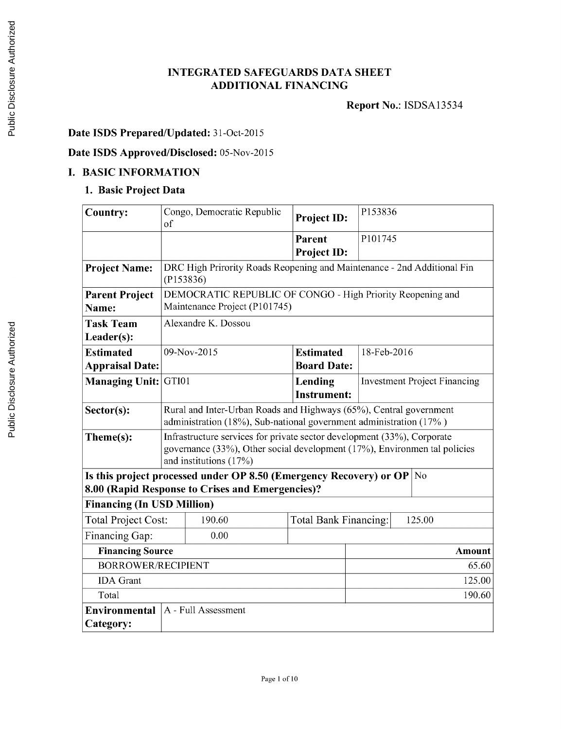## **INTEGRATED SAFEGUARDS DATA SHEET ADDITIONAL FINANCING**

**Report** No.: **ISDSA13534**

# **Date ISDS Prepared/Updated:** 31-Oct-2015

## **Date ISDS Approved/Disclosed:** 05-Nov-2015

## **I. BASIC INFORMATION**

## **1. Basic Project Data**

| <b>Country:</b>                                                                                                              | of                                                                                                                                                                             | Congo, Democratic Republic                                              | <b>Project ID:</b>                     |        | P153836                             |  |  |
|------------------------------------------------------------------------------------------------------------------------------|--------------------------------------------------------------------------------------------------------------------------------------------------------------------------------|-------------------------------------------------------------------------|----------------------------------------|--------|-------------------------------------|--|--|
|                                                                                                                              |                                                                                                                                                                                |                                                                         | <b>Parent</b><br>Project ID:           |        | P101745                             |  |  |
| <b>Project Name:</b>                                                                                                         | (P153836)                                                                                                                                                                      | DRC High Prirority Roads Reopening and Maintenance - 2nd Additional Fin |                                        |        |                                     |  |  |
| <b>Parent Project</b><br>Name:                                                                                               | DEMOCRATIC REPUBLIC OF CONGO - High Priority Reopening and<br>Maintenance Project (P101745)                                                                                    |                                                                         |                                        |        |                                     |  |  |
| <b>Task Team</b><br>Leader(s):                                                                                               |                                                                                                                                                                                | Alexandre K. Dossou                                                     |                                        |        |                                     |  |  |
| <b>Estimated</b><br><b>Appraisal Date:</b>                                                                                   |                                                                                                                                                                                | 09-Nov-2015                                                             | <b>Estimated</b><br><b>Board Date:</b> |        | 18-Feb-2016                         |  |  |
| <b>Managing Unit:</b>                                                                                                        | GTI01                                                                                                                                                                          |                                                                         | Lending<br><b>Instrument:</b>          |        | <b>Investment Project Financing</b> |  |  |
| Sector(s):                                                                                                                   | Rural and Inter-Urban Roads and Highways (65%), Central government<br>administration (18%), Sub-national government administration (17%)                                       |                                                                         |                                        |        |                                     |  |  |
| Theme(s):                                                                                                                    | Infrastructure services for private sector development (33%), Corporate<br>governance (33%), Other social development (17%), Environmen tal policies<br>and institutions (17%) |                                                                         |                                        |        |                                     |  |  |
| Is this project processed under OP 8.50 (Emergency Recovery) or OP<br>No<br>8.00 (Rapid Response to Crises and Emergencies)? |                                                                                                                                                                                |                                                                         |                                        |        |                                     |  |  |
| <b>Financing (In USD Million)</b>                                                                                            |                                                                                                                                                                                |                                                                         |                                        |        |                                     |  |  |
| <b>Total Project Cost:</b>                                                                                                   |                                                                                                                                                                                | 190.60                                                                  | Total Bank Financing:                  | 125.00 |                                     |  |  |
| Financing Gap:                                                                                                               |                                                                                                                                                                                | 0.00                                                                    |                                        |        |                                     |  |  |
| <b>Financing Source</b><br><b>Amount</b>                                                                                     |                                                                                                                                                                                |                                                                         |                                        |        |                                     |  |  |
| <b>BORROWER/RECIPIENT</b><br>65.60                                                                                           |                                                                                                                                                                                |                                                                         |                                        |        |                                     |  |  |
| <b>IDA</b> Grant                                                                                                             |                                                                                                                                                                                |                                                                         |                                        |        | 125.00                              |  |  |
| Total                                                                                                                        |                                                                                                                                                                                |                                                                         |                                        |        | 190.60                              |  |  |
| Environmental<br>Category:                                                                                                   |                                                                                                                                                                                | A - Full Assessment                                                     |                                        |        |                                     |  |  |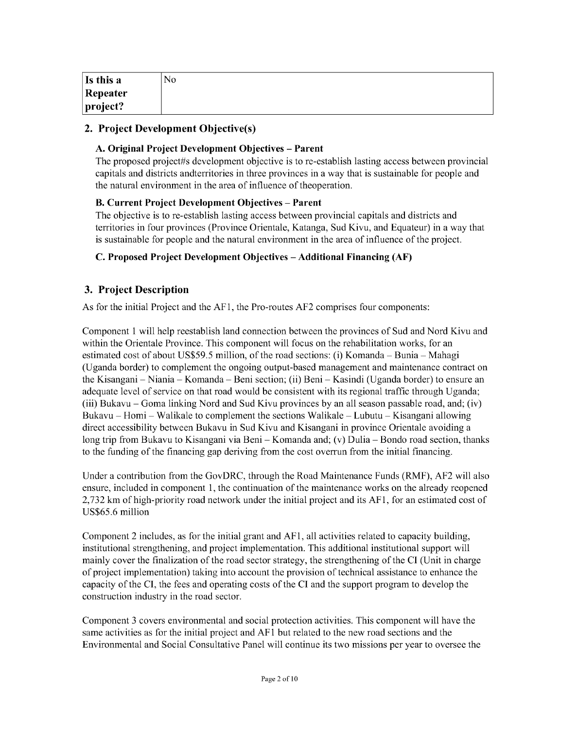| Is this a        | No |
|------------------|----|
| Repeater         |    |
| $ $ project? $ $ |    |

### **2. Project Development Objective(s)**

#### **A. Original Project Development Objectives - Parent**

The proposed project#s development objective is to re-establish lasting access between provincial capitals and districts andterritories in three provinces in a way that is sustainable for people and the natural environment in the area of influence of theoperation.

#### B. **Current Project Development Objectives - Parent**

The objective is to re-establish lasting access between provincial capitals and districts and territories in four provinces (Province Orientale, Katanga, Sud Kivu, and Equateur) in a way that is sustainable for people and the natural environment in the area of influence of the project.

#### **C. Proposed Project Development Objectives - Additional Financing (AF)**

### **3. Project Description**

As for the initial Project and the **AFl,** the Pro-routes **AF2** comprises four components:

Component 1 will help reestablish land connection between the provinces of Sud and Nord Kivu and within the Orientale Province. This component will focus on the rehabilitation works, for an estimated cost of about **US\$59.5** million, of the road sections: (i) Komanda **-** Bunia **-** Mahagi (Uganda border) to complement the ongoing output-based management and maintenance contract on the Kisangani **-** Niania **-** Komanda **-** Beni section; (ii) Beni **-** Kasindi (Uganda border) to ensure an adequate level of service on that road would be consistent with its regional traffic through Uganda; (iii) Bukavu **-** Goma linking Nord and Sud Kivu provinces **by** an all season passable road, and; (iv) Bukavu **-** Homi **-** Walikale to complement the sections Walikale **-** Lubutu **-** Kisangani allowing direct accessibility between Bukavu in Sud Kivu and Kisangani in province Orientale avoiding a long trip from Bukavu to Kisangani via Beni **-** Komanda and; (v) Dulia **-** Bondo road section, thanks to the funding of the financing gap deriving from the cost overrun from the initial financing.

Under a contribution from the GovDRC, through the Road Maintenance Funds (RMF), **AF2** will also ensure, included in component **1,** the continuation of the maintenance works on the already reopened **2,732** km of high-priority road network under the initial project and its **AFI,** for an estimated cost of *US\$65.6* million

Component 2 includes, as for the initial grant and **AF 1,** all activities related to capacity building, institutional strengthening, and project implementation. This additional institutional support will mainly cover the finalization of the road sector strategy, the strengthening of the **CI** (Unit in charge of project implementation) taking into account the provision of technical assistance to enhance the capacity of the **CI,** the fees and operating costs of the **CI** and the support program to develop the construction industry in the road sector.

Component **3** covers environmental and social protection activities. This component will have the same activities as for the initial project and **AFI** but related to the new road sections and the Environmental and Social Consultative Panel will continue its two missions per year to oversee the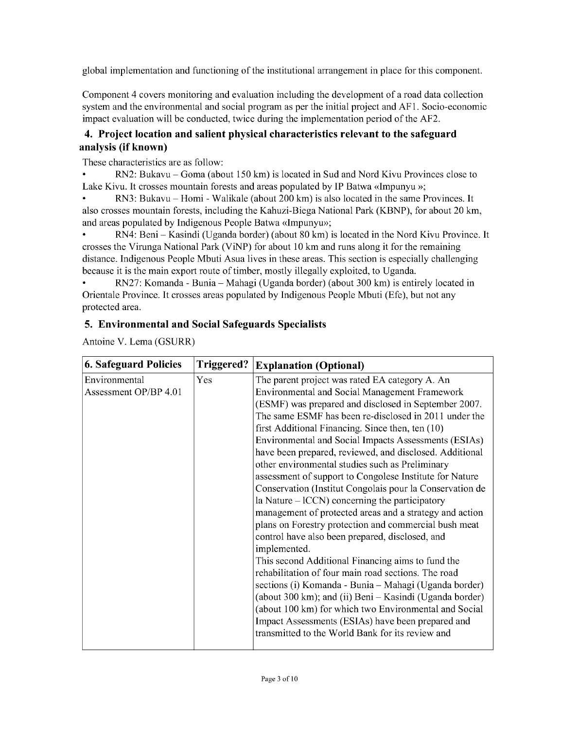global implementation and functioning of the institutional arrangement in place for this component.

Component 4 covers monitoring and evaluation including the development of a road data collection system and the environmental and social program as per the initial project and **AFl.** Socio-economic impact evaluation will be conducted, twice during the implementation period of the **AF2.**

## **4. Project location and salient physical characteristics relevant to the safeguard analysis (if known)**

These characteristics are as follow:

\* RN2: Bukavu **-** Goma (about **150** km) is located in Sud and Nord Kivu Provinces close to Lake Kivu. It crosses mountain forests and areas populated **by** IP Batwa <<Impunyu **>>;**

RN3: Bukavu – Homi - Walikale (about 200 km) is also located in the same Provinces. It also crosses mountain forests, including the Kahuzi-Biega National Park (KBNP), for about 20 km, and areas populated **by** Indigenous People Batwa <<Impunyu>>;

\* RN4: Beni **-** Kasindi (Uganda border) (about **80** km) is located in the Nord Kivu Province. It crosses the Virunga National Park (ViNP) for about **10** km and runs along it for the remaining distance. Indigenous People Mbuti Asua lives in these areas. This section is especially challenging because it is the main export route of timber, mostly illegally exploited, to Uganda.

\* **RN27:** Komanda **-** Bunia **-** Mahagi (Uganda border) (about **300** km) is entirely located in Orientale Province. It crosses areas populated **by** Indigenous People Mbuti (Efe), but not any protected area.

## **5. Environmental and Social Safeguards Specialists**

Antoine V. Lema (GSURR)

| <b>6. Safeguard Policies</b> | Triggered? | <b>Explanation (Optional)</b>                            |
|------------------------------|------------|----------------------------------------------------------|
| Environmental                | Yes        | The parent project was rated EA category A. An           |
| Assessment OP/BP 4.01        |            | <b>Environmental and Social Management Framework</b>     |
|                              |            | (ESMF) was prepared and disclosed in September 2007.     |
|                              |            | The same ESMF has been re-disclosed in 2011 under the    |
|                              |            | first Additional Financing. Since then, ten (10)         |
|                              |            | Environmental and Social Impacts Assessments (ESIAs)     |
|                              |            | have been prepared, reviewed, and disclosed. Additional  |
|                              |            | other environmental studies such as Preliminary          |
|                              |            | assessment of support to Congolese Institute for Nature  |
|                              |            | Conservation (Institut Congolais pour la Conservation de |
|                              |            | la Nature $-ICCN$ ) concerning the participatory         |
|                              |            | management of protected areas and a strategy and action  |
|                              |            | plans on Forestry protection and commercial bush meat    |
|                              |            | control have also been prepared, disclosed, and          |
|                              |            | implemented.                                             |
|                              |            | This second Additional Financing aims to fund the        |
|                              |            | rehabilitation of four main road sections. The road      |
|                              |            | sections (i) Komanda - Bunia - Mahagi (Uganda border)    |
|                              |            | (about 300 km); and (ii) Beni - Kasindi (Uganda border)  |
|                              |            | (about 100 km) for which two Environmental and Social    |
|                              |            | Impact Assessments (ESIAs) have been prepared and        |
|                              |            | transmitted to the World Bank for its review and         |
|                              |            |                                                          |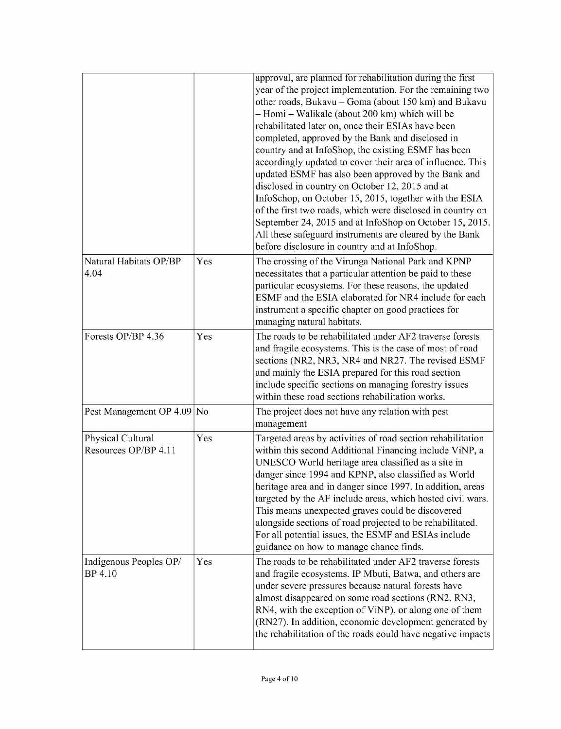|                                           |     | approval, are planned for rehabilitation during the first<br>year of the project implementation. For the remaining two<br>other roads, Bukavu - Goma (about 150 km) and Bukavu<br>- Homi - Walikale (about 200 km) which will be<br>rehabilitated later on, once their ESIAs have been<br>completed, approved by the Bank and disclosed in<br>country and at InfoShop, the existing ESMF has been<br>accordingly updated to cover their area of influence. This<br>updated ESMF has also been approved by the Bank and<br>disclosed in country on October 12, 2015 and at<br>InfoSchop, on October 15, 2015, together with the ESIA<br>of the first two roads, which were disclosed in country on<br>September 24, 2015 and at InfoShop on October 15, 2015.<br>All these safeguard instruments are cleared by the Bank<br>before disclosure in country and at InfoShop. |
|-------------------------------------------|-----|--------------------------------------------------------------------------------------------------------------------------------------------------------------------------------------------------------------------------------------------------------------------------------------------------------------------------------------------------------------------------------------------------------------------------------------------------------------------------------------------------------------------------------------------------------------------------------------------------------------------------------------------------------------------------------------------------------------------------------------------------------------------------------------------------------------------------------------------------------------------------|
| Natural Habitats OP/BP<br>4.04            | Yes | The crossing of the Virunga National Park and KPNP<br>necessitates that a particular attention be paid to these<br>particular ecosystems. For these reasons, the updated<br>ESMF and the ESIA elaborated for NR4 include for each<br>instrument a specific chapter on good practices for<br>managing natural habitats.                                                                                                                                                                                                                                                                                                                                                                                                                                                                                                                                                   |
| Forests OP/BP 4.36                        | Yes | The roads to be rehabilitated under AF2 traverse forests<br>and fragile ecosystems. This is the case of most of road<br>sections (NR2, NR3, NR4 and NR27. The revised ESMF<br>and mainly the ESIA prepared for this road section<br>include specific sections on managing forestry issues<br>within these road sections rehabilitation works.                                                                                                                                                                                                                                                                                                                                                                                                                                                                                                                            |
| Pest Management OP 4.09                   | No  | The project does not have any relation with pest<br>management                                                                                                                                                                                                                                                                                                                                                                                                                                                                                                                                                                                                                                                                                                                                                                                                           |
| Physical Cultural<br>Resources OP/BP 4.11 | Yes | Targeted areas by activities of road section rehabilitation<br>within this second Additional Financing include ViNP, a<br>UNESCO World heritage area classified as a site in<br>danger since 1994 and KPNP, also classified as World<br>heritage area and in danger since 1997. In addition, areas<br>targeted by the AF include areas, which hosted civil wars.<br>This means unexpected graves could be discovered<br>alongside sections of road projected to be rehabilitated.<br>For all potential issues, the ESMF and ESIAs include<br>guidance on how to manage chance finds.                                                                                                                                                                                                                                                                                     |
| Indigenous Peoples OP/<br>BP 4.10         | Yes | The roads to be rehabilitated under AF2 traverse forests<br>and fragile ecosystems. IP Mbuti, Batwa, and others are<br>under severe pressures because natural forests have<br>almost disappeared on some road sections (RN2, RN3,<br>RN4, with the exception of ViNP), or along one of them<br>(RN27). In addition, economic development generated by<br>the rehabilitation of the roads could have negative impacts                                                                                                                                                                                                                                                                                                                                                                                                                                                     |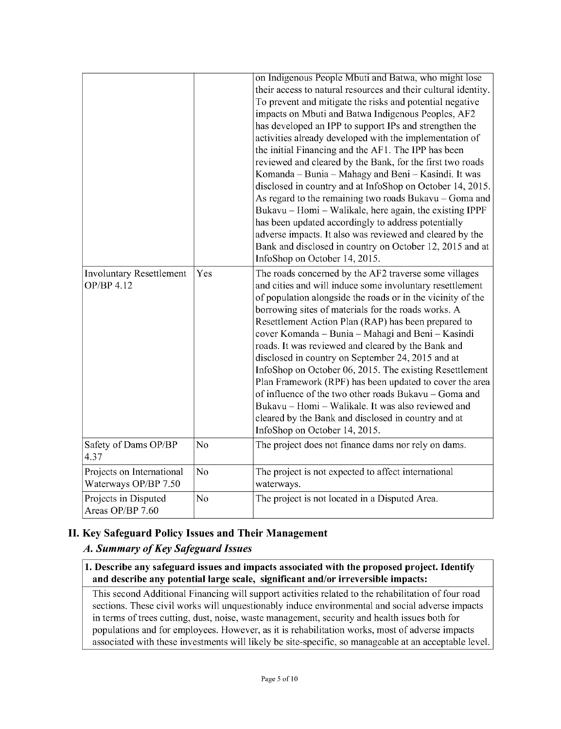|                                                   |                | on Indigenous People Mbuti and Batwa, who might lose<br>their access to natural resources and their cultural identity.<br>To prevent and mitigate the risks and potential negative<br>impacts on Mbuti and Batwa Indigenous Peoples, AF2<br>has developed an IPP to support IPs and strengthen the<br>activities already developed with the implementation of<br>the initial Financing and the AF1. The IPP has been<br>reviewed and cleared by the Bank, for the first two roads<br>Komanda – Bunia – Mahagy and Beni – Kasindi. It was<br>disclosed in country and at InfoShop on October 14, 2015.<br>As regard to the remaining two roads Bukavu - Goma and<br>Bukavu – Homi – Walikale, here again, the existing IPPF<br>has been updated accordingly to address potentially<br>adverse impacts. It also was reviewed and cleared by the<br>Bank and disclosed in country on October 12, 2015 and at<br>InfoShop on October 14, 2015. |
|---------------------------------------------------|----------------|--------------------------------------------------------------------------------------------------------------------------------------------------------------------------------------------------------------------------------------------------------------------------------------------------------------------------------------------------------------------------------------------------------------------------------------------------------------------------------------------------------------------------------------------------------------------------------------------------------------------------------------------------------------------------------------------------------------------------------------------------------------------------------------------------------------------------------------------------------------------------------------------------------------------------------------------|
| Involuntary Resettlement<br>OP/BP 4.12            | Yes            | The roads concerned by the AF2 traverse some villages<br>and cities and will induce some involuntary resettlement<br>of population alongside the roads or in the vicinity of the<br>borrowing sites of materials for the roads works. A<br>Resettlement Action Plan (RAP) has been prepared to<br>cover Komanda - Bunia - Mahagi and Beni - Kasindi<br>roads. It was reviewed and cleared by the Bank and<br>disclosed in country on September 24, 2015 and at<br>InfoShop on October 06, 2015. The existing Resettlement<br>Plan Framework (RPF) has been updated to cover the area<br>of influence of the two other roads Bukavu - Goma and<br>Bukavu - Homi - Walikale. It was also reviewed and<br>cleared by the Bank and disclosed in country and at<br>InfoShop on October 14, 2015.                                                                                                                                                |
| Safety of Dams OP/BP<br>4.37                      | No             | The project does not finance dams nor rely on dams.                                                                                                                                                                                                                                                                                                                                                                                                                                                                                                                                                                                                                                                                                                                                                                                                                                                                                        |
| Projects on International<br>Waterways OP/BP 7.50 | N <sub>o</sub> | The project is not expected to affect international<br>waterways.                                                                                                                                                                                                                                                                                                                                                                                                                                                                                                                                                                                                                                                                                                                                                                                                                                                                          |
| Projects in Disputed<br>Areas OP/BP 7.60          | No             | The project is not located in a Disputed Area.                                                                                                                                                                                                                                                                                                                                                                                                                                                                                                                                                                                                                                                                                                                                                                                                                                                                                             |

# **II. Key Safeguard Policy Issues and Their Management**

## *A. Summary of Key Safeguard Issues*

**1. Describe any safeguard issues and impacts associated with the proposed project. Identify and describe any potential large scale, significant and/or irreversible impacts:**

This second Additional Financing will support activities related to the rehabilitation of four road sections. These civil works will unquestionably induce environmental and social adverse impacts in terms of trees cutting, dust, noise, waste management, security and health issues both for populations and for employees. However, as it is rehabilitation works, most of adverse impacts associated with these investments will likely be site-specific, so manageable at an acceptable level.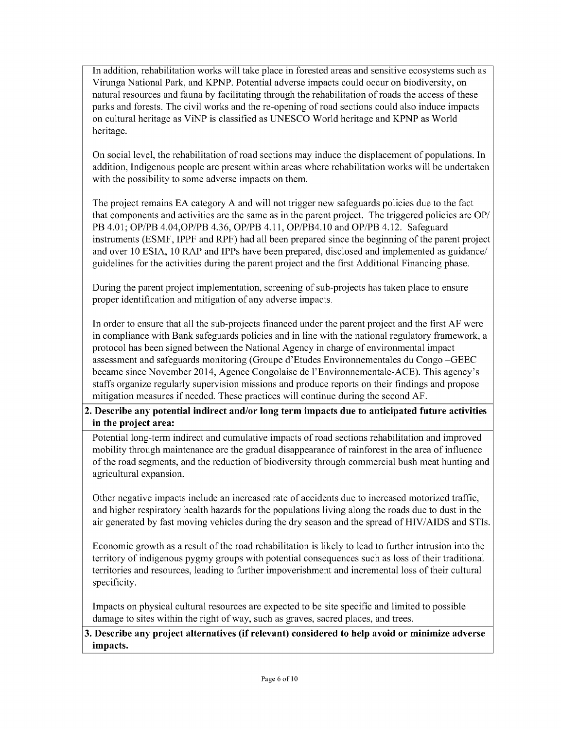In addition, rehabilitation works will take place in forested areas and sensitive ecosystems such as Virunga National Park, and KPNP. Potential adverse impacts could occur on biodiversity, on natural resources and fauna **by** facilitating through the rehabilitation of roads the access of these parks and forests. The civil works and the re-opening of road sections could also induce impacts on cultural heritage as ViNP is classified as **UNESCO** World heritage and KPNP as World heritage.

On social level, the rehabilitation of road sections may induce the displacement of populations. In addition, Indigenous people are present within areas where rehabilitation works will be undertaken with the possibility to some adverse impacts on them.

The project remains **EA** category **A** and will not trigger new safeguards policies due to the fact that components and activities are the same as in the parent project. The triggered policies are OP/ PB 4.01; OP/PB 4.04,OP/PB 4.36, OP/PB 4.11, OP/PB4.10 and OP/PB 4.12. Safeguard instruments **(ESMF,** IPPF and RPF) had all been prepared since the beginning of the parent project and over **10 ESIA, 10** RAP and IPPs have been prepared, disclosed and implemented as guidance/ guidelines for the activities during the parent project and the first Additional Financing phase.

During the parent project implementation, screening of sub-projects has taken place to ensure proper identification and mitigation of any adverse impacts.

In order to ensure that all the sub-projects financed under the parent project and the first **AF** were in compliance with Bank safeguards policies and in line with the national regulatory framework, a protocol has been signed between the National Agency in charge of environmental impact assessment and safeguards monitoring (Groupe d'Etudes Environnementales du Congo **-GEEC** became since November 2014, Agence Congolaise de l'Environnementale-ACE). This agency's staffs organize regularly supervision missions and produce reports on their findings and propose mitigation measures if needed. These practices will continue during the second **AF.**

### **2. Describe any potential indirect and/or long term impacts due to anticipated future activities in the project area:**

Potential long-term indirect and cumulative impacts of road sections rehabilitation and improved mobility through maintenance are the gradual disappearance of rainforest in the area of influence of the road segments, and the reduction of biodiversity through commercial bush meat hunting and agricultural expansion.

Other negative impacts include an increased rate of accidents due to increased motorized traffic, and higher respiratory health hazards for the populations living along the roads due to dust in the air generated **by** fast moving vehicles during the dry season and the spread of **HIV/AIDS** and STIs.

Economic growth as a result of the road rehabilitation is likely to lead to further intrusion into the territory of indigenous **pygmy** groups with potential consequences such as loss of their traditional territories and resources, leading to further impoverishment and incremental loss of their cultural specificity.

Impacts on physical cultural resources are expected to be site specific and limited to possible damage to sites within the right of way, such as graves, sacred places, and trees.

**3. Describe any project alternatives (if relevant) considered to help avoid or minimize adverse impacts.**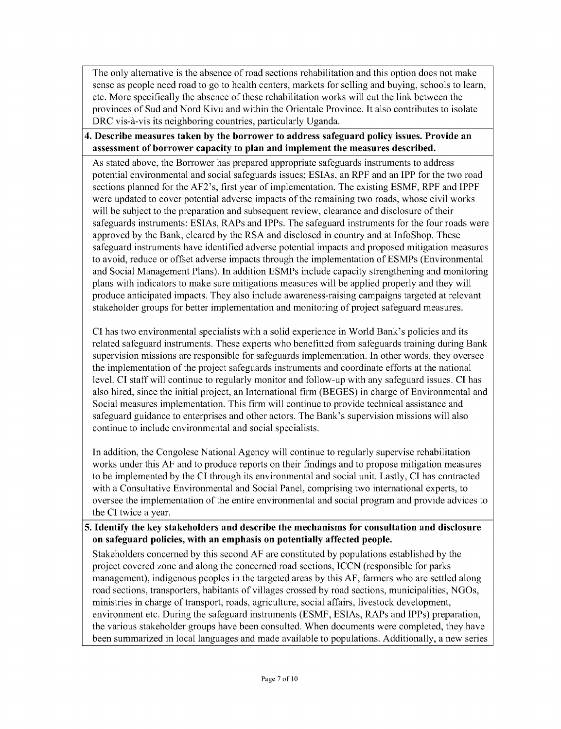The only alternative is the absence of road sections rehabilitation and this option does not make sense as people need road to go to health centers, markets for selling and buying, schools to learn, etc. More specifically the absence of these rehabilitation works will cut the link between the provinces of Sud and Nord Kivu and within the Orientale Province. It also contributes to isolate DRC vis-à-vis its neighboring countries, particularly Uganda.

### **4. Describe measures taken by the borrower to address safeguard policy issues. Provide an assessment of borrower capacity to plan and implement the measures described.**

As stated above, the Borrower has prepared appropriate safeguards instruments to address potential environmental and social safeguards issues; ESIAs, an RPF and an IPP for the two road sections planned for the AF2's, first year of implementation. The existing **ESMF,** RPF and IPPF were updated to cover potential adverse impacts of the remaining two roads, whose civil works will be subject to the preparation and subsequent review, clearance and disclosure of their safeguards instruments: ESIAs, RAPs and IPPs. The safeguard instruments for the four roads were approved **by** the Bank, cleared **by** the RSA and disclosed in country and at InfoShop. These safeguard instruments have identified adverse potential impacts and proposed mitigation measures to avoid, reduce or offset adverse impacts through the implementation of ESMPs (Environmental and Social Management Plans). In addition ESMPs include capacity strengthening and monitoring plans with indicators to make sure mitigations measures will be applied properly and they will produce anticipated impacts. They also include awareness-raising campaigns targeted at relevant stakeholder groups for better implementation and monitoring of project safeguard measures.

**CI** has two environmental specialists with a solid experience in World Bank's policies and its related safeguard instruments. These experts who benefitted from safeguards training during Bank supervision missions are responsible for safeguards implementation. In other words, they oversee the implementation of the project safeguards instruments and coordinate efforts at the national level. **CI** staff will continue to regularly monitor and follow-up with any safeguard issues. **CI** has also hired, since the initial project, an International firm **(BEGES)** in charge of Environmental and Social measures implementation. This firm will continue to provide technical assistance and safeguard guidance to enterprises and other actors. The Bank's supervision missions will also continue to include environmental and social specialists.

In addition, the Congolese National Agency will continue to regularly supervise rehabilitation works under this **AF** and to produce reports on their findings and to propose mitigation measures to be implemented **by** the **CI** through its environmental and social unit. Lastly, **CI** has contracted with a Consultative Environmental and Social Panel, comprising two international experts, to oversee the implementation of the entire environmental and social program and provide advices to the **CI** twice a year.

### **5. Identify the key stakeholders and describe the mechanisms for consultation and disclosure on safeguard policies, with an emphasis on potentially affected people.**

Stakeholders concerned **by** this second **AF** are constituted **by** populations established **by** the project covered zone and along the concerned road sections, **ICCN** (responsible for parks management), indigenous peoples in the targeted areas **by** this **AF,** farmers who are settled along road sections, transporters, habitants of villages crossed **by** road sections, municipalities, NGOs, ministries in charge of transport, roads, agriculture, social affairs, livestock development, environment etc. During the safeguard instruments **(ESMF,** ESIAs, RAPs and IPPs) preparation, the various stakeholder groups have been consulted. When documents were completed, they have been summarized in local languages and made available to populations. Additionally, a new series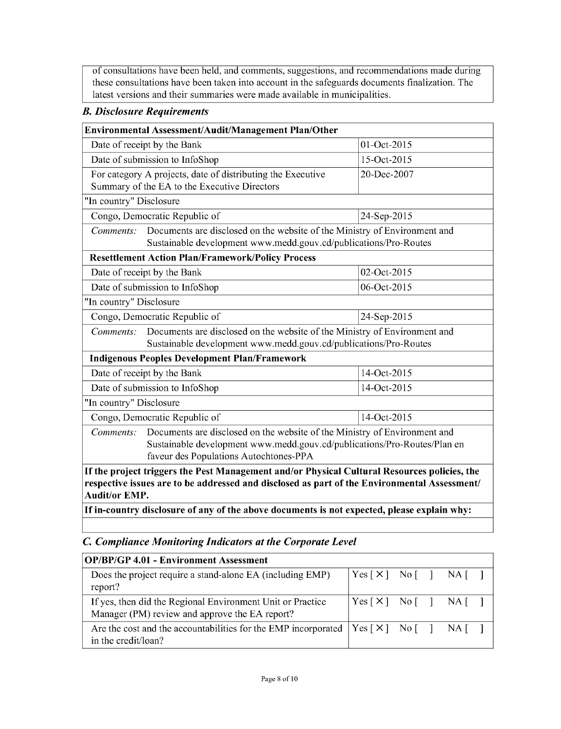of consultations have been held, and comments, suggestions, and recommendations made during these consultations have been taken into account in the safeguards documents finalization. The latest versions and their summaries were made available in municipalities.

### *B. Disclosure Requirements*

| Environmental Assessment/Audit/Management Plan/Other                                         |                                                                           |             |  |  |  |
|----------------------------------------------------------------------------------------------|---------------------------------------------------------------------------|-------------|--|--|--|
| Date of receipt by the Bank                                                                  |                                                                           | 01-Oct-2015 |  |  |  |
| Date of submission to InfoShop                                                               |                                                                           | 15-Oct-2015 |  |  |  |
|                                                                                              | For category A projects, date of distributing the Executive               | 20-Dec-2007 |  |  |  |
|                                                                                              | Summary of the EA to the Executive Directors                              |             |  |  |  |
| "In country" Disclosure                                                                      |                                                                           |             |  |  |  |
| Congo, Democratic Republic of                                                                |                                                                           | 24-Sep-2015 |  |  |  |
| Comments:                                                                                    | Documents are disclosed on the website of the Ministry of Environment and |             |  |  |  |
|                                                                                              | Sustainable development www.medd.gouv.cd/publications/Pro-Routes          |             |  |  |  |
|                                                                                              | <b>Resettlement Action Plan/Framework/Policy Process</b>                  |             |  |  |  |
| Date of receipt by the Bank<br>02-Oct-2015                                                   |                                                                           |             |  |  |  |
| 06-Oct-2015<br>Date of submission to InfoShop                                                |                                                                           |             |  |  |  |
| "In country" Disclosure                                                                      |                                                                           |             |  |  |  |
| Congo, Democratic Republic of<br>24-Sep-2015                                                 |                                                                           |             |  |  |  |
| Documents are disclosed on the website of the Ministry of Environment and<br>Comments:       |                                                                           |             |  |  |  |
|                                                                                              | Sustainable development www.medd.gouv.cd/publications/Pro-Routes          |             |  |  |  |
|                                                                                              | <b>Indigenous Peoples Development Plan/Framework</b>                      |             |  |  |  |
|                                                                                              | Date of receipt by the Bank<br>14-Oct-2015                                |             |  |  |  |
| Date of submission to InfoShop<br>14-Oct-2015                                                |                                                                           |             |  |  |  |
| "In country" Disclosure                                                                      |                                                                           |             |  |  |  |
| Congo, Democratic Republic of<br>14-Oct-2015                                                 |                                                                           |             |  |  |  |
| Documents are disclosed on the website of the Ministry of Environment and<br>Comments:       |                                                                           |             |  |  |  |
| Sustainable development www.medd.gouv.cd/publications/Pro-Routes/Plan en                     |                                                                           |             |  |  |  |
| faveur des Populations Autochtones-PPA                                                       |                                                                           |             |  |  |  |
| If the project triggers the Pest Management and/or Physical Cultural Resources policies, the |                                                                           |             |  |  |  |
| respective issues are to be addressed and disclosed as part of the Environmental Assessment/ |                                                                           |             |  |  |  |
| <b>Audit/or EMP.</b>                                                                         |                                                                           |             |  |  |  |

**If in-country disclosure of any of the above documents is not expected, please explain why:**

## *C. Compliance Monitoring Indicators at the Corporate Level*

| <b>OP/BP/GP 4.01 - Environment Assessment</b>                                                                                        |                                                                               |  |  |
|--------------------------------------------------------------------------------------------------------------------------------------|-------------------------------------------------------------------------------|--|--|
| Does the project require a stand-alone EA (including EMP)<br>report?                                                                 | $ Yes \lceil X \rceil$ No $\lceil \rceil$ NA $\lceil \rceil$                  |  |  |
| If yes, then did the Regional Environment Unit or Practice<br>Manager (PM) review and approve the EA report?                         | $ Yes \lceil \times \rceil$ No $\lceil \cdot \rceil$ NA $\lceil \cdot \rceil$ |  |  |
| Are the cost and the accountabilities for the EMP incorporated $ \text{Yes}[\times] \text{ No}[\ ]$ NA $[\ ]$<br>in the credit/loan? |                                                                               |  |  |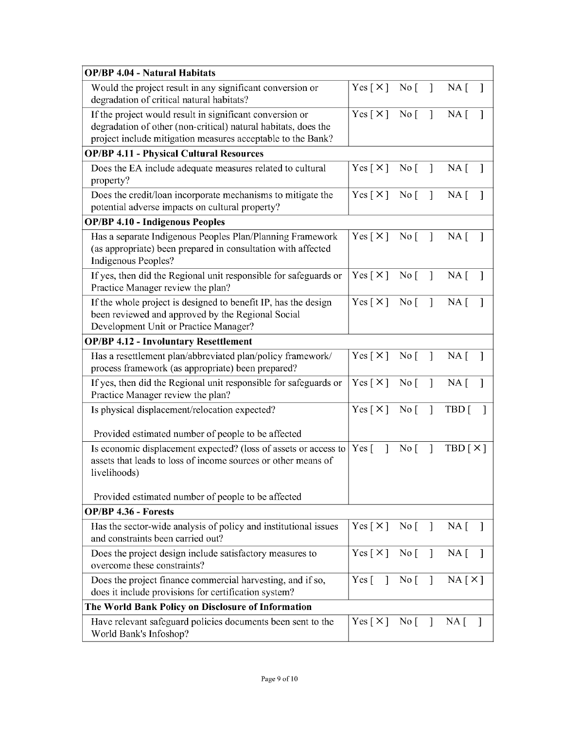| <b>OP/BP 4.04 - Natural Habitats</b>                                                                                                                                                      |                                       |                                 |                |                             |
|-------------------------------------------------------------------------------------------------------------------------------------------------------------------------------------------|---------------------------------------|---------------------------------|----------------|-----------------------------|
| Would the project result in any significant conversion or<br>degradation of critical natural habitats?                                                                                    | Yes $\lceil \times \rceil$            | $\overline{N}$ o                | $\mathbf{I}$   | $NA \lceil$<br>$\mathbf{I}$ |
| If the project would result in significant conversion or<br>degradation of other (non-critical) natural habitats, does the<br>project include mitigation measures acceptable to the Bank? | Yes $\lceil \times \rceil$            | $\overline{N}$ o                | $\mathbf{I}$   | $NA \lceil$                 |
| <b>OP/BP 4.11 - Physical Cultural Resources</b>                                                                                                                                           |                                       |                                 |                |                             |
| Does the EA include adequate measures related to cultural<br>property?                                                                                                                    | Yes [ X ] No [ ]                      |                                 |                | $NA \Gamma$<br>-1           |
| Does the credit/loan incorporate mechanisms to mitigate the<br>potential adverse impacts on cultural property?                                                                            | Yes [ X ] No [                        |                                 | $\mathbf{1}$   | $NA \lceil$<br>$\mathbf{1}$ |
| <b>OP/BP 4.10 - Indigenous Peoples</b>                                                                                                                                                    |                                       |                                 |                |                             |
| Has a separate Indigenous Peoples Plan/Planning Framework<br>(as appropriate) been prepared in consultation with affected<br>Indigenous Peoples?                                          | Yes [ X ] No [ ]                      |                                 |                | $NA \lceil$<br>$\mathbf{1}$ |
| If yes, then did the Regional unit responsible for safeguards or<br>Practice Manager review the plan?                                                                                     | Yes $[\times]$                        | $\overline{N}$ o $\overline{[}$ | $\mathbf{1}$   | $NA \Gamma$<br>1            |
| If the whole project is designed to benefit IP, has the design<br>been reviewed and approved by the Regional Social<br>Development Unit or Practice Manager?                              | Yes [X] No [ ]                        |                                 |                | $NA$ [<br>1                 |
| <b>OP/BP 4.12 - Involuntary Resettlement</b>                                                                                                                                              |                                       |                                 |                |                             |
| Has a resettlement plan/abbreviated plan/policy framework/<br>process framework (as appropriate) been prepared?                                                                           | Yes [ X ]                             | $\overline{N}$ o                | $\mathbf{I}$   | NA [                        |
| If yes, then did the Regional unit responsible for safeguards or<br>Practice Manager review the plan?                                                                                     | Yes [ X ] No [                        |                                 | $\overline{1}$ | $NA \lceil$                 |
| Is physical displacement/relocation expected?                                                                                                                                             | Yes $\lceil \times \rceil$            | $\overline{N}$ o                | $\mathbf{I}$   | TBD [                       |
| Provided estimated number of people to be affected                                                                                                                                        |                                       |                                 |                |                             |
| Is economic displacement expected? (loss of assets or access to<br>assets that leads to loss of income sources or other means of<br>livelihoods)                                          | $Yes \lceil$<br>$\mathbf{1}$          | No <sub>1</sub>                 | $\mathbf{I}$   | TBD[X]                      |
| Provided estimated number of people to be affected                                                                                                                                        |                                       |                                 |                |                             |
| OP/BP 4.36 - Forests                                                                                                                                                                      |                                       |                                 |                |                             |
| Has the sector-wide analysis of policy and institutional issues<br>and constraints been carried out?                                                                                      | Yes $[\times]$                        | $\overline{N}$ o [              | $\mathbf{1}$   | $NA \Gamma$<br>$\mathbf{1}$ |
| Does the project design include satisfactory measures to<br>overcome these constraints?                                                                                                   | $Yes [ \times ]$                      | $\overline{N}$ o                | $\mathbf{1}$   | $NA \Gamma$<br>1            |
| Does the project finance commercial harvesting, and if so,<br>does it include provisions for certification system?                                                                        | Yes $\begin{bmatrix} 1 \end{bmatrix}$ | No [ ]                          |                | NA[X]                       |
| The World Bank Policy on Disclosure of Information                                                                                                                                        |                                       |                                 |                |                             |
| Have relevant safeguard policies documents been sent to the<br>World Bank's Infoshop?                                                                                                     | Yes [ $\times$ ]                      | $\overline{N}$ o [              | 1              | $NA$ [<br>$\mathbf{I}$      |